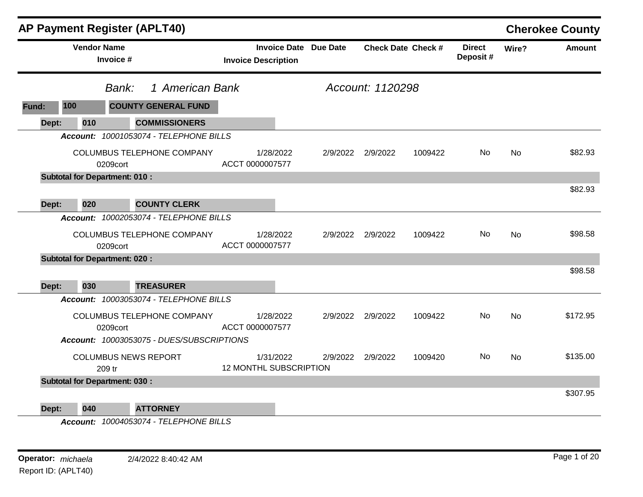|       |                                      |           | AP Payment Register (APLT40)                                            |                               |           |                              |                   |                           |                            |           | <b>Cherokee County</b> |
|-------|--------------------------------------|-----------|-------------------------------------------------------------------------|-------------------------------|-----------|------------------------------|-------------------|---------------------------|----------------------------|-----------|------------------------|
|       | <b>Vendor Name</b>                   | Invoice # |                                                                         | <b>Invoice Description</b>    |           | <b>Invoice Date Due Date</b> |                   | <b>Check Date Check #</b> | <b>Direct</b><br>Deposit # | Wire?     | <b>Amount</b>          |
|       |                                      | Bank:     | 1 American Bank                                                         |                               |           |                              | Account: 1120298  |                           |                            |           |                        |
| Fund: | 100                                  |           | <b>COUNTY GENERAL FUND</b>                                              |                               |           |                              |                   |                           |                            |           |                        |
| Dept: | 010                                  |           | <b>COMMISSIONERS</b>                                                    |                               |           |                              |                   |                           |                            |           |                        |
|       |                                      |           | Account: 10001053074 - TELEPHONE BILLS                                  |                               |           |                              |                   |                           |                            |           |                        |
|       |                                      | 0209cort  | COLUMBUS TELEPHONE COMPANY                                              | ACCT 0000007577               | 1/28/2022 | 2/9/2022                     | 2/9/2022          | 1009422                   | No                         | No        | \$82.93                |
|       | <b>Subtotal for Department: 010:</b> |           |                                                                         |                               |           |                              |                   |                           |                            |           |                        |
|       |                                      |           |                                                                         |                               |           |                              |                   |                           |                            |           | \$82.93                |
| Dept: | 020                                  |           | <b>COUNTY CLERK</b>                                                     |                               |           |                              |                   |                           |                            |           |                        |
|       |                                      |           | Account: 10002053074 - TELEPHONE BILLS                                  |                               |           |                              |                   |                           |                            |           |                        |
|       |                                      | 0209cort  | COLUMBUS TELEPHONE COMPANY                                              | ACCT 0000007577               | 1/28/2022 |                              | 2/9/2022 2/9/2022 | 1009422                   | No.                        | No        | \$98.58                |
|       | <b>Subtotal for Department: 020:</b> |           |                                                                         |                               |           |                              |                   |                           |                            |           |                        |
| Dept: | 030                                  |           | <b>TREASURER</b>                                                        |                               |           |                              |                   |                           |                            |           | \$98.58                |
|       |                                      |           | Account: 10003053074 - TELEPHONE BILLS                                  |                               |           |                              |                   |                           |                            |           |                        |
|       |                                      | 0209cort  | COLUMBUS TELEPHONE COMPANY<br>Account: 10003053075 - DUES/SUBSCRIPTIONS | ACCT 0000007577               | 1/28/2022 |                              | 2/9/2022 2/9/2022 | 1009422                   | No.                        | <b>No</b> | \$172.95               |
|       |                                      | 209 tr    | <b>COLUMBUS NEWS REPORT</b>                                             | <b>12 MONTHL SUBSCRIPTION</b> | 1/31/2022 | 2/9/2022                     | 2/9/2022          | 1009420                   | No.                        | No        | \$135.00               |
|       | <b>Subtotal for Department: 030:</b> |           |                                                                         |                               |           |                              |                   |                           |                            |           |                        |
| Dept: | 040                                  |           | <b>ATTORNEY</b>                                                         |                               |           |                              |                   |                           |                            |           | \$307.95               |

*Account: 10004053074 - TELEPHONE BILLS*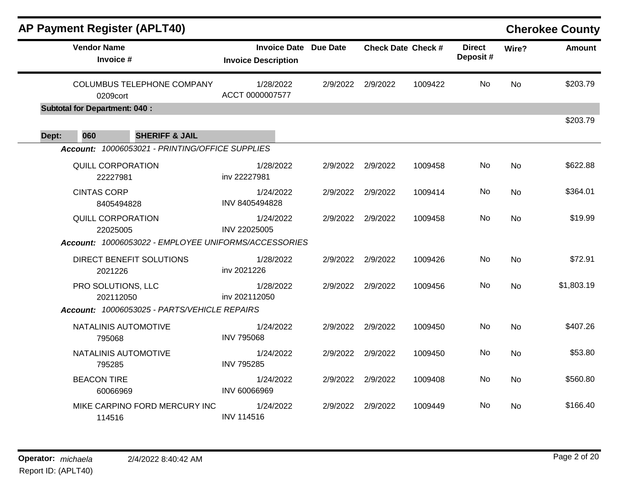|       |                                      | <b>AP Payment Register (APLT40)</b>                  |                                                            |          |                           |         |                           |           | <b>Cherokee County</b> |
|-------|--------------------------------------|------------------------------------------------------|------------------------------------------------------------|----------|---------------------------|---------|---------------------------|-----------|------------------------|
|       | <b>Vendor Name</b><br>Invoice #      |                                                      | <b>Invoice Date</b> Due Date<br><b>Invoice Description</b> |          | <b>Check Date Check #</b> |         | <b>Direct</b><br>Deposit# | Wire?     | <b>Amount</b>          |
|       | 0209cort                             | COLUMBUS TELEPHONE COMPANY                           | 1/28/2022<br>ACCT 0000007577                               |          | 2/9/2022 2/9/2022         | 1009422 | <b>No</b>                 | <b>No</b> | \$203.79               |
|       | <b>Subtotal for Department: 040:</b> |                                                      |                                                            |          |                           |         |                           |           |                        |
| Dept: | 060                                  | <b>SHERIFF &amp; JAIL</b>                            |                                                            |          |                           |         |                           |           | \$203.79               |
|       |                                      | Account: 10006053021 - PRINTING/OFFICE SUPPLIES      |                                                            |          |                           |         |                           |           |                        |
|       | <b>QUILL CORPORATION</b><br>22227981 |                                                      | 1/28/2022<br>inv 22227981                                  |          | 2/9/2022 2/9/2022         | 1009458 | No                        | No        | \$622.88               |
|       | <b>CINTAS CORP</b><br>8405494828     |                                                      | 1/24/2022<br>INV 8405494828                                |          | 2/9/2022 2/9/2022         | 1009414 | No                        | <b>No</b> | \$364.01               |
|       | <b>QUILL CORPORATION</b><br>22025005 |                                                      | 1/24/2022<br>INV 22025005                                  |          | 2/9/2022 2/9/2022         | 1009458 | No                        | <b>No</b> | \$19.99                |
|       |                                      | Account: 10006053022 - EMPLOYEE UNIFORMS/ACCESSORIES |                                                            |          |                           |         |                           |           |                        |
|       | 2021226                              | DIRECT BENEFIT SOLUTIONS                             | 1/28/2022<br>inv 2021226                                   | 2/9/2022 | 2/9/2022                  | 1009426 | No                        | <b>No</b> | \$72.91                |
|       | PRO SOLUTIONS, LLC<br>202112050      |                                                      | 1/28/2022<br>inv 202112050                                 |          | 2/9/2022 2/9/2022         | 1009456 | No                        | <b>No</b> | \$1,803.19             |
|       |                                      | Account: 10006053025 - PARTS/VEHICLE REPAIRS         |                                                            |          |                           |         |                           |           |                        |
|       | NATALINIS AUTOMOTIVE<br>795068       |                                                      | 1/24/2022<br><b>INV 795068</b>                             |          | 2/9/2022 2/9/2022         | 1009450 | No                        | <b>No</b> | \$407.26               |
|       | NATALINIS AUTOMOTIVE<br>795285       |                                                      | 1/24/2022<br><b>INV 795285</b>                             |          | 2/9/2022 2/9/2022         | 1009450 | No                        | <b>No</b> | \$53.80                |
|       | <b>BEACON TIRE</b><br>60066969       |                                                      | 1/24/2022<br>INV 60066969                                  |          | 2/9/2022 2/9/2022         | 1009408 | No                        | No        | \$560.80               |
|       | 114516                               | MIKE CARPINO FORD MERCURY INC                        | 1/24/2022<br><b>INV 114516</b>                             | 2/9/2022 | 2/9/2022                  | 1009449 | No                        | No        | \$166.40               |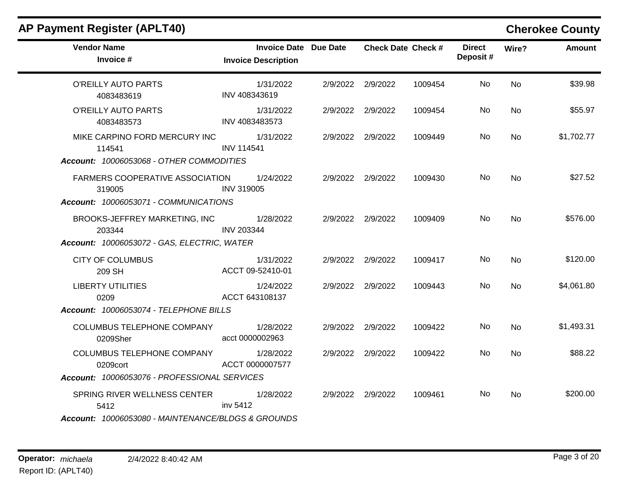| <b>AP Payment Register (APLT40)</b>                                                           |                                                            |                   |                           |                           |           | <b>Cherokee County</b> |
|-----------------------------------------------------------------------------------------------|------------------------------------------------------------|-------------------|---------------------------|---------------------------|-----------|------------------------|
| <b>Vendor Name</b><br>Invoice #                                                               | <b>Invoice Date Due Date</b><br><b>Invoice Description</b> |                   | <b>Check Date Check #</b> | <b>Direct</b><br>Deposit# | Wire?     | <b>Amount</b>          |
| O'REILLY AUTO PARTS<br>4083483619                                                             | 1/31/2022<br>INV 408343619                                 | 2/9/2022 2/9/2022 | 1009454                   | No.                       | <b>No</b> | \$39.98                |
| O'REILLY AUTO PARTS<br>4083483573                                                             | 1/31/2022<br>INV 4083483573                                | 2/9/2022 2/9/2022 | 1009454                   | No.                       | <b>No</b> | \$55.97                |
| MIKE CARPINO FORD MERCURY INC<br>114541<br>Account: 10006053068 - OTHER COMMODITIES           | 1/31/2022<br><b>INV 114541</b>                             | 2/9/2022 2/9/2022 | 1009449                   | No.                       | <b>No</b> | \$1,702.77             |
| FARMERS COOPERATIVE ASSOCIATION<br>319005<br>Account: 10006053071 - COMMUNICATIONS            | 1/24/2022<br><b>INV 319005</b>                             | 2/9/2022 2/9/2022 | 1009430                   | No.                       | <b>No</b> | \$27.52                |
| BROOKS-JEFFREY MARKETING, INC<br>203344<br>Account: 10006053072 - GAS, ELECTRIC, WATER        | 1/28/2022<br><b>INV 203344</b>                             | 2/9/2022 2/9/2022 | 1009409                   | No.                       | <b>No</b> | \$576.00               |
| <b>CITY OF COLUMBUS</b><br>209 SH                                                             | 1/31/2022<br>ACCT 09-52410-01                              | 2/9/2022 2/9/2022 | 1009417                   | No.                       | <b>No</b> | \$120.00               |
| <b>LIBERTY UTILITIES</b><br>0209<br>Account: 10006053074 - TELEPHONE BILLS                    | 1/24/2022<br>ACCT 643108137                                | 2/9/2022 2/9/2022 | 1009443                   | No.                       | No        | \$4,061.80             |
| COLUMBUS TELEPHONE COMPANY<br>0209Sher                                                        | 1/28/2022<br>acct 0000002963                               | 2/9/2022 2/9/2022 | 1009422                   | No.                       | <b>No</b> | \$1,493.31             |
| <b>COLUMBUS TELEPHONE COMPANY</b><br>0209cort<br>Account: 10006053076 - PROFESSIONAL SERVICES | 1/28/2022<br>ACCT 0000007577                               | 2/9/2022 2/9/2022 | 1009422                   | No.                       | <b>No</b> | \$88.22                |
| SPRING RIVER WELLNESS CENTER<br>5412<br>Account: 10006053080 - MAINTENANCE/BLDGS & GROUNDS    | 1/28/2022<br>inv 5412                                      | 2/9/2022 2/9/2022 | 1009461                   | No.                       | No        | \$200.00               |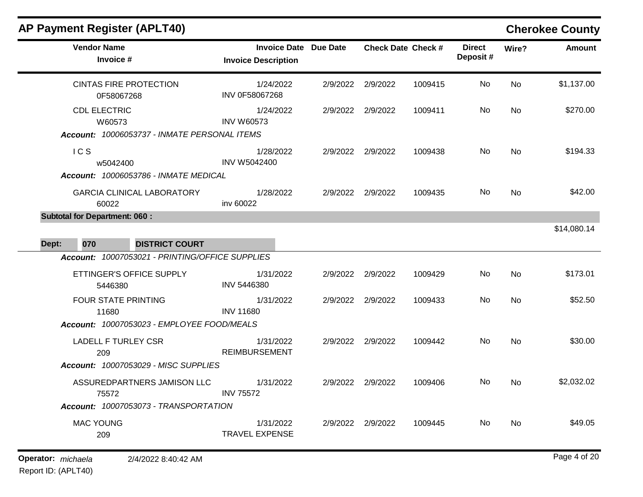| <b>AP Payment Register (APLT40)</b>                                               |                                                            |          |                           |         |                           |       | <b>Cherokee County</b> |
|-----------------------------------------------------------------------------------|------------------------------------------------------------|----------|---------------------------|---------|---------------------------|-------|------------------------|
| <b>Vendor Name</b><br>Invoice #                                                   | <b>Invoice Date Due Date</b><br><b>Invoice Description</b> |          | <b>Check Date Check #</b> |         | <b>Direct</b><br>Deposit# | Wire? | <b>Amount</b>          |
| <b>CINTAS FIRE PROTECTION</b><br>0F58067268                                       | 1/24/2022<br>INV 0F58067268                                | 2/9/2022 | 2/9/2022                  | 1009415 | No                        | No    | \$1,137.00             |
| <b>CDL ELECTRIC</b><br>W60573<br>Account: 10006053737 - INMATE PERSONAL ITEMS     | 1/24/2022<br><b>INV W60573</b>                             | 2/9/2022 | 2/9/2022                  | 1009411 | No                        | No    | \$270.00               |
| ICS<br>w5042400<br>Account: 10006053786 - INMATE MEDICAL                          | 1/28/2022<br><b>INV W5042400</b>                           | 2/9/2022 | 2/9/2022                  | 1009438 | No                        | No    | \$194.33               |
| <b>GARCIA CLINICAL LABORATORY</b><br>60022                                        | 1/28/2022<br>inv 60022                                     | 2/9/2022 | 2/9/2022                  | 1009435 | No                        | No    | \$42.00                |
| <b>Subtotal for Department: 060:</b><br><b>DISTRICT COURT</b><br>Dept:<br>070     |                                                            |          |                           |         |                           |       | \$14,080.14            |
| Account: 10007053021 - PRINTING/OFFICE SUPPLIES                                   |                                                            |          |                           |         |                           |       |                        |
| ETTINGER'S OFFICE SUPPLY<br>5446380                                               | 1/31/2022<br>INV 5446380                                   | 2/9/2022 | 2/9/2022                  | 1009429 | No                        | No    | \$173.01               |
| <b>FOUR STATE PRINTING</b><br>11680<br>Account: 10007053023 - EMPLOYEE FOOD/MEALS | 1/31/2022<br><b>INV 11680</b>                              | 2/9/2022 | 2/9/2022                  | 1009433 | No                        | No    | \$52.50                |
| <b>LADELL F TURLEY CSR</b><br>209<br>Account: 10007053029 - MISC SUPPLIES         | 1/31/2022<br><b>REIMBURSEMENT</b>                          | 2/9/2022 | 2/9/2022                  | 1009442 | No                        | No    | \$30.00                |
| ASSUREDPARTNERS JAMISON LLC<br>75572                                              | 1/31/2022<br><b>INV 75572</b>                              | 2/9/2022 | 2/9/2022                  | 1009406 | No.                       | No.   | \$2,032.02             |
| Account: 10007053073 - TRANSPORTATION                                             |                                                            |          |                           |         |                           |       |                        |
| <b>MAC YOUNG</b><br>209                                                           | 1/31/2022<br><b>TRAVEL EXPENSE</b>                         |          | 2/9/2022 2/9/2022         | 1009445 | No                        | No    | \$49.05                |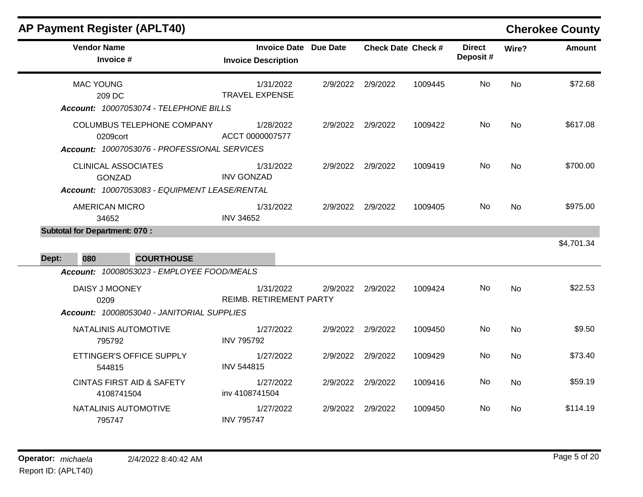| <b>AP Payment Register (APLT40)</b>                                                                                |                                                     |          |                           |         |                           |           | <b>Cherokee County</b> |
|--------------------------------------------------------------------------------------------------------------------|-----------------------------------------------------|----------|---------------------------|---------|---------------------------|-----------|------------------------|
| <b>Vendor Name</b><br>Invoice #                                                                                    | Invoice Date Due Date<br><b>Invoice Description</b> |          | <b>Check Date Check #</b> |         | <b>Direct</b><br>Deposit# | Wire?     | <b>Amount</b>          |
| <b>MAC YOUNG</b><br>209 DC<br>Account: 10007053074 - TELEPHONE BILLS                                               | 1/31/2022<br><b>TRAVEL EXPENSE</b>                  | 2/9/2022 | 2/9/2022                  | 1009445 | No.                       | No        | \$72.68                |
| <b>COLUMBUS TELEPHONE COMPANY</b><br>0209cort<br>Account: 10007053076 - PROFESSIONAL SERVICES                      | 1/28/2022<br>ACCT 0000007577                        |          | 2/9/2022 2/9/2022         | 1009422 | No                        | <b>No</b> | \$617.08               |
| <b>CLINICAL ASSOCIATES</b><br><b>GONZAD</b><br>Account: 10007053083 - EQUIPMENT LEASE/RENTAL                       | 1/31/2022<br><b>INV GONZAD</b>                      |          | 2/9/2022 2/9/2022         | 1009419 | No                        | No        | \$700.00               |
| <b>AMERICAN MICRO</b><br>34652                                                                                     | 1/31/2022<br><b>INV 34652</b>                       |          | 2/9/2022 2/9/2022         | 1009405 | No                        | <b>No</b> | \$975.00               |
| <b>Subtotal for Department: 070:</b>                                                                               |                                                     |          |                           |         |                           |           |                        |
|                                                                                                                    |                                                     |          |                           |         |                           |           | \$4,701.34             |
| <b>COURTHOUSE</b><br>Dept:<br>080                                                                                  |                                                     |          |                           |         |                           |           |                        |
| Account: 10008053023 - EMPLOYEE FOOD/MEALS<br>DAISY J MOONEY<br>0209<br>Account: 10008053040 - JANITORIAL SUPPLIES | 1/31/2022<br><b>REIMB. RETIREMENT PARTY</b>         | 2/9/2022 | 2/9/2022                  | 1009424 | No.                       | No        | \$22.53                |
| NATALINIS AUTOMOTIVE<br>795792                                                                                     | 1/27/2022<br><b>INV 795792</b>                      |          | 2/9/2022 2/9/2022         | 1009450 | No.                       | No        | \$9.50                 |
| ETTINGER'S OFFICE SUPPLY<br>544815                                                                                 | 1/27/2022<br><b>INV 544815</b>                      |          | 2/9/2022 2/9/2022         | 1009429 | No                        | No        | \$73.40                |
| <b>CINTAS FIRST AID &amp; SAFETY</b><br>4108741504                                                                 | 1/27/2022<br>inv 4108741504                         | 2/9/2022 | 2/9/2022                  | 1009416 | No.                       | No        | \$59.19                |
| NATALINIS AUTOMOTIVE<br>795747                                                                                     | 1/27/2022<br><b>INV 795747</b>                      | 2/9/2022 | 2/9/2022                  | 1009450 | No.                       | No        | \$114.19               |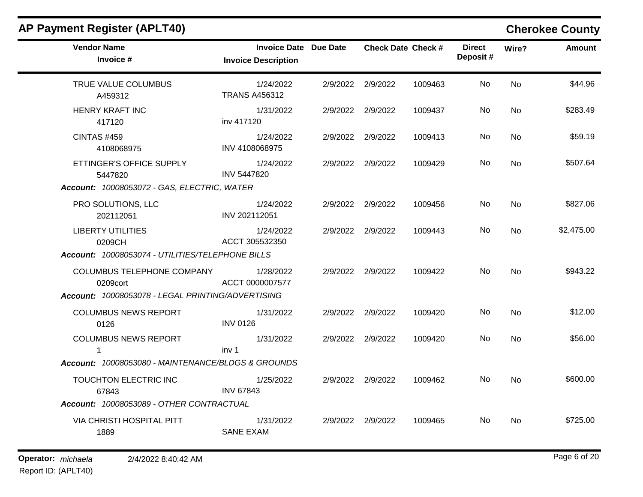| <b>Vendor Name</b><br>Invoice #                    | Invoice Date Due Date<br><b>Invoice Description</b> | <b>Check Date Check #</b> |         | <b>Direct</b><br>Deposit# | Wire?     | <b>Amount</b> |
|----------------------------------------------------|-----------------------------------------------------|---------------------------|---------|---------------------------|-----------|---------------|
| TRUE VALUE COLUMBUS<br>A459312                     | 1/24/2022<br><b>TRANS A456312</b>                   | 2/9/2022 2/9/2022         | 1009463 | <b>No</b>                 | <b>No</b> | \$44.96       |
| <b>HENRY KRAFT INC</b><br>417120                   | 1/31/2022<br>inv 417120                             | 2/9/2022 2/9/2022         | 1009437 | No.                       | No.       | \$283.49      |
| <b>CINTAS #459</b><br>4108068975                   | 1/24/2022<br>INV 4108068975                         | 2/9/2022 2/9/2022         | 1009413 | No                        | <b>No</b> | \$59.19       |
| ETTINGER'S OFFICE SUPPLY<br>5447820                | 1/24/2022<br><b>INV 5447820</b>                     | 2/9/2022 2/9/2022         | 1009429 | No.                       | No.       | \$507.64      |
| Account: 10008053072 - GAS, ELECTRIC, WATER        |                                                     |                           |         |                           |           |               |
| PRO SOLUTIONS, LLC<br>202112051                    | 1/24/2022<br>INV 202112051                          | 2/9/2022 2/9/2022         | 1009456 | No                        | <b>No</b> | \$827.06      |
| <b>LIBERTY UTILITIES</b><br>0209CH                 | 1/24/2022<br>ACCT 305532350                         | 2/9/2022 2/9/2022         | 1009443 | No.                       | <b>No</b> | \$2,475.00    |
| Account: 10008053074 - UTILITIES/TELEPHONE BILLS   |                                                     |                           |         |                           |           |               |
| COLUMBUS TELEPHONE COMPANY<br>0209cort             | 1/28/2022<br>ACCT 0000007577                        | 2/9/2022 2/9/2022         | 1009422 | No.                       | <b>No</b> | \$943.22      |
| Account: 10008053078 - LEGAL PRINTING/ADVERTISING  |                                                     |                           |         |                           |           |               |
| <b>COLUMBUS NEWS REPORT</b><br>0126                | 1/31/2022<br><b>INV 0126</b>                        | 2/9/2022 2/9/2022         | 1009420 | No                        | <b>No</b> | \$12.00       |
| <b>COLUMBUS NEWS REPORT</b><br>$\mathbf{1}$        | 1/31/2022<br>inv <sub>1</sub>                       | 2/9/2022 2/9/2022         | 1009420 | No.                       | No        | \$56.00       |
| Account: 10008053080 - MAINTENANCE/BLDGS & GROUNDS |                                                     |                           |         |                           |           |               |
| TOUCHTON ELECTRIC INC<br>67843                     | 1/25/2022<br><b>INV 67843</b>                       | 2/9/2022 2/9/2022         | 1009462 | No.                       | <b>No</b> | \$600.00      |
| Account: 10008053089 - OTHER CONTRACTUAL           |                                                     |                           |         |                           |           |               |
| <b>VIA CHRISTI HOSPITAL PITT</b><br>1889           | 1/31/2022<br><b>SANE EXAM</b>                       | 2/9/2022 2/9/2022         | 1009465 | No.                       | <b>No</b> | \$725.00      |

## **AP Payment Register (APLT40) Cherokee County**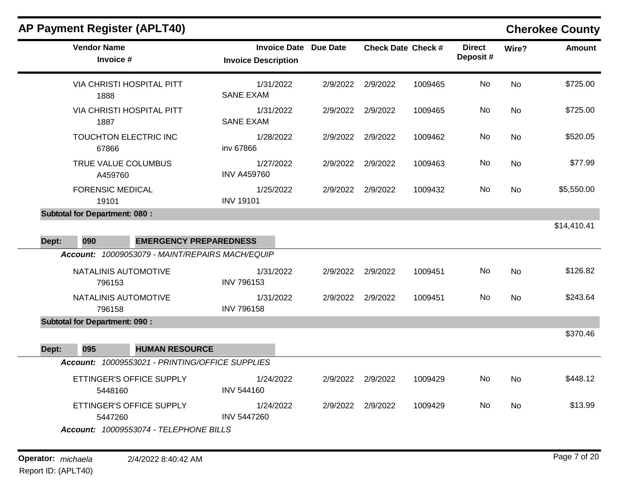# **AP Payment Register (APLT40) Cherokee County**

| <b>Vendor Name</b><br>Invoice #                 | <b>Invoice Date Due Date</b><br><b>Invoice Description</b> |                   | <b>Check Date Check #</b> |         | <b>Direct</b><br>Deposit# | Wire?     | <b>Amount</b> |
|-------------------------------------------------|------------------------------------------------------------|-------------------|---------------------------|---------|---------------------------|-----------|---------------|
| VIA CHRISTI HOSPITAL PITT<br>1888               | 1/31/2022<br><b>SANE EXAM</b>                              |                   | 2/9/2022 2/9/2022         | 1009465 | No                        | <b>No</b> | \$725.00      |
| <b>VIA CHRISTI HOSPITAL PITT</b><br>1887        | 1/31/2022<br><b>SANE EXAM</b>                              | 2/9/2022 2/9/2022 |                           | 1009465 | No                        | <b>No</b> | \$725.00      |
| TOUCHTON ELECTRIC INC<br>67866                  | 1/28/2022<br>inv 67866                                     | 2/9/2022 2/9/2022 |                           | 1009462 | No                        | <b>No</b> | \$520.05      |
| TRUE VALUE COLUMBUS<br>A459760                  | 1/27/2022<br><b>INV A459760</b>                            | 2/9/2022          | 2/9/2022                  | 1009463 | No                        | No        | \$77.99       |
| <b>FORENSIC MEDICAL</b><br>19101                | 1/25/2022<br><b>INV 19101</b>                              | 2/9/2022 2/9/2022 |                           | 1009432 | No                        | <b>No</b> | \$5,550.00    |
| <b>Subtotal for Department: 080:</b>            |                                                            |                   |                           |         |                           |           |               |
|                                                 |                                                            |                   |                           |         |                           |           | \$14,410.41   |
| <b>EMERGENCY PREPAREDNESS</b><br>Dept:<br>090   |                                                            |                   |                           |         |                           |           |               |
| Account: 10009053079 - MAINT/REPAIRS MACH/EQUIP |                                                            |                   |                           |         |                           |           |               |
| NATALINIS AUTOMOTIVE<br>796153                  | 1/31/2022<br><b>INV 796153</b>                             |                   | 2/9/2022 2/9/2022         | 1009451 | No                        | <b>No</b> | \$126.82      |
| NATALINIS AUTOMOTIVE<br>796158                  | 1/31/2022<br><b>INV 796158</b>                             | 2/9/2022 2/9/2022 |                           | 1009451 | <b>No</b>                 | No        | \$243.64      |
| <b>Subtotal for Department: 090:</b>            |                                                            |                   |                           |         |                           |           |               |
|                                                 |                                                            |                   |                           |         |                           |           | \$370.46      |
| Dept:<br>095<br><b>HUMAN RESOURCE</b>           |                                                            |                   |                           |         |                           |           |               |
| Account: 10009553021 - PRINTING/OFFICE SUPPLIES |                                                            |                   |                           |         |                           |           |               |
| ETTINGER'S OFFICE SUPPLY<br>5448160             | 1/24/2022<br><b>INV 544160</b>                             |                   | 2/9/2022 2/9/2022         | 1009429 | No                        | <b>No</b> | \$448.12      |
| ETTINGER'S OFFICE SUPPLY<br>5447260             | 1/24/2022<br><b>INV 5447260</b>                            |                   | 2/9/2022 2/9/2022         | 1009429 | No                        | <b>No</b> | \$13.99       |
| Account: 10009553074 - TELEPHONE BILLS          |                                                            |                   |                           |         |                           |           |               |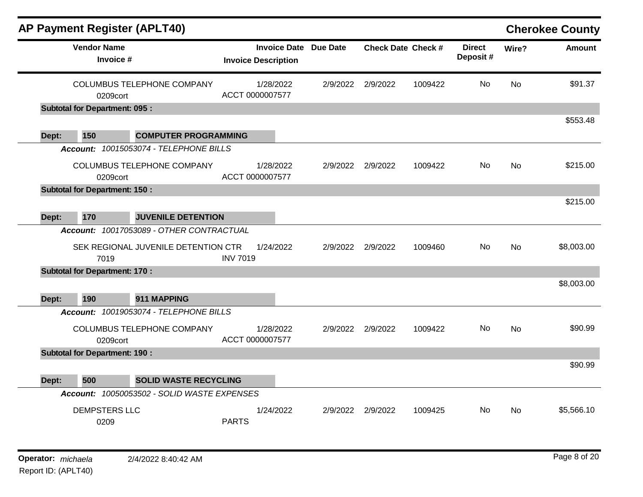|       | <b>AP Payment Register (APLT40)</b>              |                                             |                              |                     |          |                           |         |                           |           | <b>Cherokee County</b> |
|-------|--------------------------------------------------|---------------------------------------------|------------------------------|---------------------|----------|---------------------------|---------|---------------------------|-----------|------------------------|
|       | <b>Vendor Name</b><br>Invoice #                  |                                             | <b>Invoice Description</b>   | <b>Invoice Date</b> | Due Date | <b>Check Date Check #</b> |         | <b>Direct</b><br>Deposit# | Wire?     | <b>Amount</b>          |
|       | 0209cort<br><b>Subtotal for Department: 095:</b> | COLUMBUS TELEPHONE COMPANY                  | 1/28/2022<br>ACCT 0000007577 |                     | 2/9/2022 | 2/9/2022                  | 1009422 | No                        | <b>No</b> | \$91.37                |
|       |                                                  |                                             |                              |                     |          |                           |         |                           |           | \$553.48               |
| Dept: | 150                                              | <b>COMPUTER PROGRAMMING</b>                 |                              |                     |          |                           |         |                           |           |                        |
|       |                                                  | Account: 10015053074 - TELEPHONE BILLS      |                              |                     |          |                           |         |                           |           |                        |
|       | 0209cort                                         | <b>COLUMBUS TELEPHONE COMPANY</b>           | 1/28/2022<br>ACCT 0000007577 |                     | 2/9/2022 | 2/9/2022                  | 1009422 | No                        | No.       | \$215.00               |
|       | <b>Subtotal for Department: 150:</b>             |                                             |                              |                     |          |                           |         |                           |           |                        |
| Dept: | 170                                              | <b>JUVENILE DETENTION</b>                   |                              |                     |          |                           |         |                           |           | \$215.00               |
|       |                                                  | Account: 10017053089 - OTHER CONTRACTUAL    |                              |                     |          |                           |         |                           |           |                        |
|       | 7019                                             | SEK REGIONAL JUVENILE DETENTION CTR         | 1/24/2022<br><b>INV 7019</b> |                     | 2/9/2022 | 2/9/2022                  | 1009460 | No                        | <b>No</b> | \$8,003.00             |
|       | <b>Subtotal for Department: 170:</b>             |                                             |                              |                     |          |                           |         |                           |           |                        |
| Dept: | 190                                              | 911 MAPPING                                 |                              |                     |          |                           |         |                           |           | \$8,003.00             |
|       |                                                  | Account: 10019053074 - TELEPHONE BILLS      |                              |                     |          |                           |         |                           |           |                        |
|       | 0209cort                                         | <b>COLUMBUS TELEPHONE COMPANY</b>           | 1/28/2022<br>ACCT 0000007577 |                     | 2/9/2022 | 2/9/2022                  | 1009422 | No                        | <b>No</b> | \$90.99                |
|       | <b>Subtotal for Department: 190:</b>             |                                             |                              |                     |          |                           |         |                           |           |                        |
| Dept: | 500                                              | <b>SOLID WASTE RECYCLING</b>                |                              |                     |          |                           |         |                           |           | \$90.99                |
|       |                                                  | Account: 10050053502 - SOLID WASTE EXPENSES |                              |                     |          |                           |         |                           |           |                        |
|       | <b>DEMPSTERS LLC</b><br>0209                     |                                             | 1/24/2022<br><b>PARTS</b>    |                     | 2/9/2022 | 2/9/2022                  | 1009425 | No                        | No        | \$5,566.10             |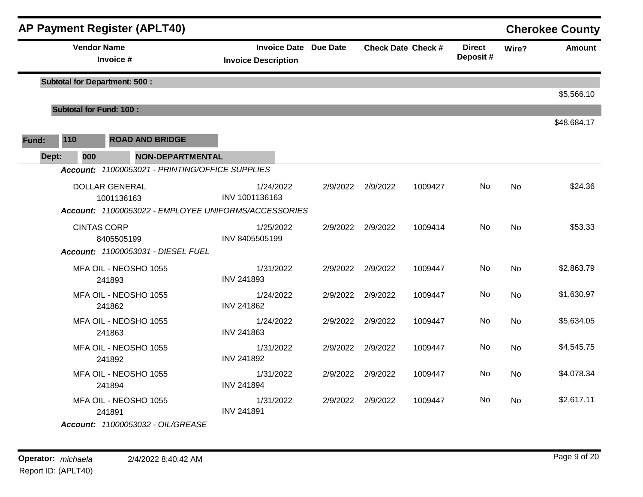|       |       |     |                                      | <b>AP Payment Register (APLT40)</b>                  |                            |           |                              |                   |                           |                           |           | <b>Cherokee County</b> |
|-------|-------|-----|--------------------------------------|------------------------------------------------------|----------------------------|-----------|------------------------------|-------------------|---------------------------|---------------------------|-----------|------------------------|
|       |       |     | <b>Vendor Name</b><br>Invoice #      |                                                      | <b>Invoice Description</b> |           | <b>Invoice Date Due Date</b> |                   | <b>Check Date Check #</b> | <b>Direct</b><br>Deposit# | Wire?     | <b>Amount</b>          |
|       |       |     | <b>Subtotal for Department: 500:</b> |                                                      |                            |           |                              |                   |                           |                           |           |                        |
|       |       |     |                                      |                                                      |                            |           |                              |                   |                           |                           |           | \$5,566.10             |
|       |       |     | <b>Subtotal for Fund: 100:</b>       |                                                      |                            |           |                              |                   |                           |                           |           |                        |
|       |       |     |                                      |                                                      |                            |           |                              |                   |                           |                           |           | \$48,684.17            |
| Fund: | 110   |     |                                      | <b>ROAD AND BRIDGE</b>                               |                            |           |                              |                   |                           |                           |           |                        |
|       | Dept: | 000 |                                      | <b>NON-DEPARTMENTAL</b>                              |                            |           |                              |                   |                           |                           |           |                        |
|       |       |     |                                      | Account: 11000053021 - PRINTING/OFFICE SUPPLIES      |                            |           |                              |                   |                           |                           |           |                        |
|       |       |     | <b>DOLLAR GENERAL</b>                |                                                      |                            | 1/24/2022 |                              | 2/9/2022 2/9/2022 | 1009427                   | No                        | No        | \$24.36                |
|       |       |     | 1001136163                           |                                                      | INV 1001136163             |           |                              |                   |                           |                           |           |                        |
|       |       |     |                                      | Account: 11000053022 - EMPLOYEE UNIFORMS/ACCESSORIES |                            |           |                              |                   |                           |                           |           |                        |
|       |       |     | <b>CINTAS CORP</b>                   |                                                      |                            | 1/25/2022 |                              | 2/9/2022 2/9/2022 | 1009414                   | No.                       | <b>No</b> | \$53.33                |
|       |       |     | 8405505199                           |                                                      | INV 8405505199             |           |                              |                   |                           |                           |           |                        |
|       |       |     |                                      | Account: 11000053031 - DIESEL FUEL                   |                            |           |                              |                   |                           |                           |           |                        |
|       |       |     |                                      | MFA OIL - NEOSHO 1055                                |                            | 1/31/2022 |                              | 2/9/2022 2/9/2022 | 1009447                   | No.                       | <b>No</b> | \$2,863.79             |
|       |       |     | 241893                               |                                                      | <b>INV 241893</b>          |           |                              |                   |                           |                           |           |                        |
|       |       |     | 241862                               | MFA OIL - NEOSHO 1055                                | <b>INV 241862</b>          | 1/24/2022 |                              | 2/9/2022 2/9/2022 | 1009447                   | No                        | No        | \$1,630.97             |
|       |       |     |                                      | MFA OIL - NEOSHO 1055                                |                            | 1/24/2022 |                              | 2/9/2022 2/9/2022 | 1009447                   | No.                       | <b>No</b> | \$5,634.05             |
|       |       |     | 241863                               |                                                      | <b>INV 241863</b>          |           |                              |                   |                           |                           |           |                        |
|       |       |     |                                      | MFA OIL - NEOSHO 1055                                |                            | 1/31/2022 |                              | 2/9/2022 2/9/2022 | 1009447                   | No.                       | No        | \$4,545.75             |
|       |       |     | 241892                               |                                                      | <b>INV 241892</b>          |           |                              |                   |                           |                           |           |                        |
|       |       |     |                                      | MFA OIL - NEOSHO 1055                                |                            | 1/31/2022 |                              | 2/9/2022 2/9/2022 | 1009447                   | No                        | <b>No</b> | \$4,078.34             |
|       |       |     | 241894                               |                                                      | <b>INV 241894</b>          |           |                              |                   |                           |                           |           |                        |
|       |       |     |                                      | MFA OIL - NEOSHO 1055                                |                            | 1/31/2022 |                              | 2/9/2022 2/9/2022 | 1009447                   | No.                       | No        | \$2,617.11             |
|       |       |     | 241891                               |                                                      | <b>INV 241891</b>          |           |                              |                   |                           |                           |           |                        |
|       |       |     |                                      | Account: 11000053032 - OIL/GREASE                    |                            |           |                              |                   |                           |                           |           |                        |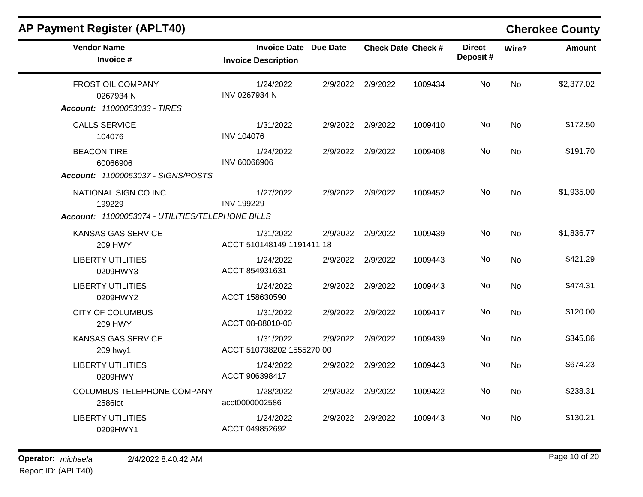| <b>AP Payment Register (APLT40)</b> |  |  |
|-------------------------------------|--|--|
|-------------------------------------|--|--|

# **Cherokee County**

| <b>Vendor Name</b><br>Invoice #                                                    | <b>Invoice Date Due Date</b><br><b>Invoice Description</b> |          | <b>Check Date Check #</b> |         | <b>Direct</b><br>Deposit# | Wire?     | <b>Amount</b> |
|------------------------------------------------------------------------------------|------------------------------------------------------------|----------|---------------------------|---------|---------------------------|-----------|---------------|
| <b>FROST OIL COMPANY</b><br>0267934IN<br>Account: 11000053033 - TIRES              | 1/24/2022<br><b>INV 0267934IN</b>                          | 2/9/2022 | 2/9/2022                  | 1009434 | No                        | <b>No</b> | \$2,377.02    |
| <b>CALLS SERVICE</b><br>104076                                                     | 1/31/2022<br><b>INV 104076</b>                             | 2/9/2022 | 2/9/2022                  | 1009410 | No                        | <b>No</b> | \$172.50      |
| <b>BEACON TIRE</b><br>60066906<br><b>Account: 11000053037 - SIGNS/POSTS</b>        | 1/24/2022<br>INV 60066906                                  | 2/9/2022 | 2/9/2022                  | 1009408 | No.                       | <b>No</b> | \$191.70      |
| NATIONAL SIGN CO INC<br>199229<br>Account: 11000053074 - UTILITIES/TELEPHONE BILLS | 1/27/2022<br><b>INV 199229</b>                             | 2/9/2022 | 2/9/2022                  | 1009452 | No                        | No        | \$1,935.00    |
| KANSAS GAS SERVICE<br>209 HWY                                                      | 1/31/2022<br>ACCT 510148149 1191411 18                     | 2/9/2022 | 2/9/2022                  | 1009439 | No                        | <b>No</b> | \$1,836.77    |
| <b>LIBERTY UTILITIES</b><br>0209HWY3                                               | 1/24/2022<br>ACCT 854931631                                | 2/9/2022 | 2/9/2022                  | 1009443 | No.                       | No        | \$421.29      |
| <b>LIBERTY UTILITIES</b><br>0209HWY2                                               | 1/24/2022<br>ACCT 158630590                                | 2/9/2022 | 2/9/2022                  | 1009443 | <b>No</b>                 | <b>No</b> | \$474.31      |
| <b>CITY OF COLUMBUS</b><br><b>209 HWY</b>                                          | 1/31/2022<br>ACCT 08-88010-00                              | 2/9/2022 | 2/9/2022                  | 1009417 | No                        | No        | \$120.00      |
| <b>KANSAS GAS SERVICE</b><br>209 hwy1                                              | 1/31/2022<br>ACCT 510738202 1555270 00                     | 2/9/2022 | 2/9/2022                  | 1009439 | <b>No</b>                 | <b>No</b> | \$345.86      |
| <b>LIBERTY UTILITIES</b><br>0209HWY                                                | 1/24/2022<br>ACCT 906398417                                | 2/9/2022 | 2/9/2022                  | 1009443 | No.                       | No        | \$674.23      |
| COLUMBUS TELEPHONE COMPANY<br>2586lot                                              | 1/28/2022<br>acct0000002586                                | 2/9/2022 | 2/9/2022                  | 1009422 | No                        | No        | \$238.31      |
| <b>LIBERTY UTILITIES</b><br>0209HWY1                                               | 1/24/2022<br>ACCT 049852692                                | 2/9/2022 | 2/9/2022                  | 1009443 | No.                       | No        | \$130.21      |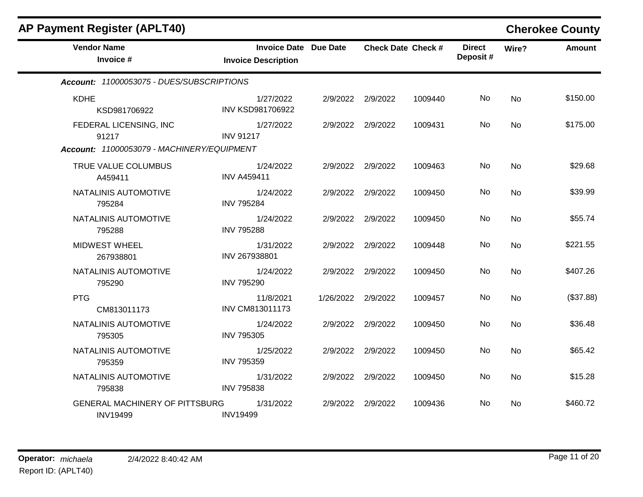| <b>AP Payment Register (APLT40)</b>               |                                                            |                    |                   |                           |                           |           | <b>Cherokee County</b> |
|---------------------------------------------------|------------------------------------------------------------|--------------------|-------------------|---------------------------|---------------------------|-----------|------------------------|
| <b>Vendor Name</b><br>Invoice #                   | <b>Invoice Date Due Date</b><br><b>Invoice Description</b> |                    |                   | <b>Check Date Check #</b> | <b>Direct</b><br>Deposit# | Wire?     | <b>Amount</b>          |
| Account: 11000053075 - DUES/SUBSCRIPTIONS         |                                                            |                    |                   |                           |                           |           |                        |
| <b>KDHE</b><br>KSD981706922                       | 1/27/2022<br>INV KSD981706922                              |                    | 2/9/2022 2/9/2022 | 1009440                   | No                        | <b>No</b> | \$150.00               |
| FEDERAL LICENSING, INC<br>91217                   | 1/27/2022<br><b>INV 91217</b>                              |                    | 2/9/2022 2/9/2022 | 1009431                   | No                        | No        | \$175.00               |
| Account: 11000053079 - MACHINERY/EQUIPMENT        |                                                            |                    |                   |                           |                           |           |                        |
| TRUE VALUE COLUMBUS<br>A459411                    | 1/24/2022<br><b>INV A459411</b>                            |                    | 2/9/2022 2/9/2022 | 1009463                   | No                        | No        | \$29.68                |
| NATALINIS AUTOMOTIVE<br>795284                    | 1/24/2022<br><b>INV 795284</b>                             |                    | 2/9/2022 2/9/2022 | 1009450                   | No.                       | No        | \$39.99                |
| NATALINIS AUTOMOTIVE<br>795288                    | 1/24/2022<br><b>INV 795288</b>                             |                    | 2/9/2022 2/9/2022 | 1009450                   | No                        | <b>No</b> | \$55.74                |
| <b>MIDWEST WHEEL</b><br>267938801                 | 1/31/2022<br>INV 267938801                                 |                    | 2/9/2022 2/9/2022 | 1009448                   | No                        | No        | \$221.55               |
| NATALINIS AUTOMOTIVE<br>795290                    | 1/24/2022<br><b>INV 795290</b>                             |                    | 2/9/2022 2/9/2022 | 1009450                   | No                        | <b>No</b> | \$407.26               |
| <b>PTG</b><br>CM813011173                         | 11/8/2021<br>INV CM813011173                               | 1/26/2022 2/9/2022 |                   | 1009457                   | No                        | No        | (\$37.88)              |
| NATALINIS AUTOMOTIVE<br>795305                    | 1/24/2022<br><b>INV 795305</b>                             |                    | 2/9/2022 2/9/2022 | 1009450                   | No                        | <b>No</b> | \$36.48                |
| NATALINIS AUTOMOTIVE<br>795359                    | 1/25/2022<br><b>INV 795359</b>                             |                    | 2/9/2022 2/9/2022 | 1009450                   | No                        | No        | \$65.42                |
| NATALINIS AUTOMOTIVE<br>795838                    | 1/31/2022<br><b>INV 795838</b>                             |                    | 2/9/2022 2/9/2022 | 1009450                   | No                        | <b>No</b> | \$15.28                |
| GENERAL MACHINERY OF PITTSBURG<br><b>INV19499</b> | 1/31/2022<br><b>INV19499</b>                               | 2/9/2022           | 2/9/2022          | 1009436                   | No                        | No        | \$460.72               |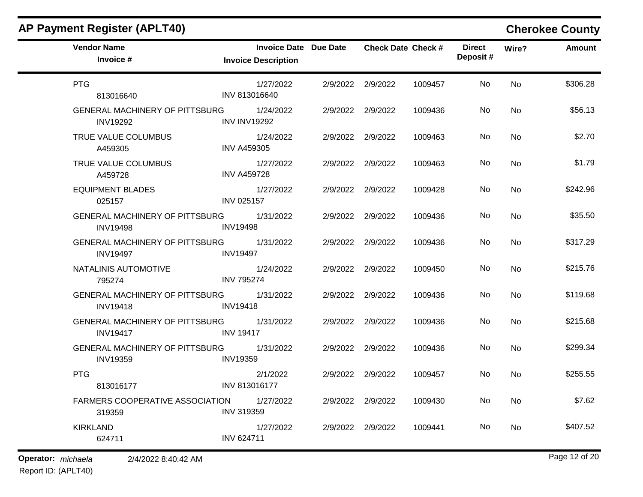| <b>Vendor Name</b><br>Invoice #                          | <b>Invoice Date Due Date</b><br><b>Invoice Description</b> | <b>Check Date Check #</b> |         | <b>Direct</b><br>Deposit# | Wire?     | <b>Amount</b> |
|----------------------------------------------------------|------------------------------------------------------------|---------------------------|---------|---------------------------|-----------|---------------|
| <b>PTG</b><br>813016640                                  | 1/27/2022<br>INV 813016640                                 | 2/9/2022 2/9/2022         | 1009457 | No                        | <b>No</b> | \$306.28      |
| <b>GENERAL MACHINERY OF PITTSBURG</b><br><b>INV19292</b> | 1/24/2022<br><b>INV INV19292</b>                           | 2/9/2022 2/9/2022         | 1009436 | No                        | <b>No</b> | \$56.13       |
| TRUE VALUE COLUMBUS<br>A459305                           | 1/24/2022<br><b>INV A459305</b>                            | 2/9/2022 2/9/2022         | 1009463 | No                        | <b>No</b> | \$2.70        |
| TRUE VALUE COLUMBUS<br>A459728                           | 1/27/2022<br><b>INV A459728</b>                            | 2/9/2022 2/9/2022         | 1009463 | No.                       | <b>No</b> | \$1.79        |
| <b>EQUIPMENT BLADES</b><br>025157                        | 1/27/2022<br><b>INV 025157</b>                             | 2/9/2022 2/9/2022         | 1009428 | No.                       | <b>No</b> | \$242.96      |
| GENERAL MACHINERY OF PITTSBURG<br><b>INV19498</b>        | 1/31/2022<br><b>INV19498</b>                               | 2/9/2022 2/9/2022         | 1009436 | No                        | <b>No</b> | \$35.50       |
| <b>GENERAL MACHINERY OF PITTSBURG</b><br><b>INV19497</b> | 1/31/2022<br><b>INV19497</b>                               | 2/9/2022 2/9/2022         | 1009436 | No.                       | <b>No</b> | \$317.29      |
| NATALINIS AUTOMOTIVE<br>795274                           | 1/24/2022<br><b>INV 795274</b>                             | 2/9/2022 2/9/2022         | 1009450 | No.                       | <b>No</b> | \$215.76      |
| <b>GENERAL MACHINERY OF PITTSBURG</b><br><b>INV19418</b> | 1/31/2022<br><b>INV19418</b>                               | 2/9/2022 2/9/2022         | 1009436 | No                        | <b>No</b> | \$119.68      |
| <b>GENERAL MACHINERY OF PITTSBURG</b><br><b>INV19417</b> | 1/31/2022<br><b>INV 19417</b>                              | 2/9/2022 2/9/2022         | 1009436 | No.                       | <b>No</b> | \$215.68      |
| <b>GENERAL MACHINERY OF PITTSBURG</b><br><b>INV19359</b> | 1/31/2022<br><b>INV19359</b>                               | 2/9/2022 2/9/2022         | 1009436 | No                        | <b>No</b> | \$299.34      |
| <b>PTG</b><br>813016177                                  | 2/1/2022<br>INV 813016177                                  | 2/9/2022 2/9/2022         | 1009457 | No                        | <b>No</b> | \$255.55      |
| FARMERS COOPERATIVE ASSOCIATION<br>319359                | 1/27/2022<br><b>INV 319359</b>                             | 2/9/2022 2/9/2022         | 1009430 | No.                       | <b>No</b> | \$7.62        |
| <b>KIRKLAND</b><br>624711                                | 1/27/2022<br><b>INV 624711</b>                             | 2/9/2022 2/9/2022         | 1009441 | No.                       | <b>No</b> | \$407.52      |

## **AP Payment Register (APLT40) Cherokee County**

**Operator:** *michaela* 2/4/2022 8:40:42 AM

Report ID: (APLT40)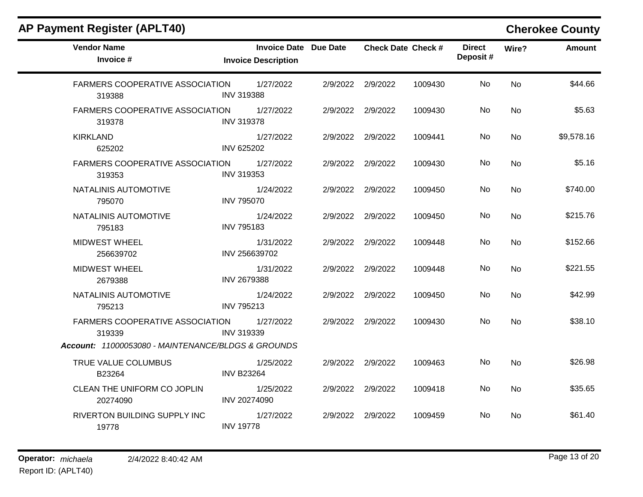| <b>AP Payment Register (APLT40)</b> |  |
|-------------------------------------|--|
|-------------------------------------|--|

## **Cherokee County**

| <b>Vendor Name</b><br>Invoice $#$                   | <b>Invoice Date Due Date</b><br><b>Invoice Description</b> | <b>Check Date Check #</b> |         | <b>Direct</b><br>Deposit# | Wire?     | <b>Amount</b> |
|-----------------------------------------------------|------------------------------------------------------------|---------------------------|---------|---------------------------|-----------|---------------|
| <b>FARMERS COOPERATIVE ASSOCIATION</b><br>319388    | 1/27/2022<br><b>INV 319388</b>                             | 2/9/2022 2/9/2022         | 1009430 | No.                       | <b>No</b> | \$44.66       |
| FARMERS COOPERATIVE ASSOCIATION 1/27/2022<br>319378 | <b>INV 319378</b>                                          | 2/9/2022 2/9/2022         | 1009430 | No.                       | <b>No</b> | \$5.63        |
| <b>KIRKLAND</b><br>625202                           | 1/27/2022<br>INV 625202                                    | 2/9/2022 2/9/2022         | 1009441 | No.                       | No.       | \$9,578.16    |
| <b>FARMERS COOPERATIVE ASSOCIATION</b><br>319353    | 1/27/2022<br><b>INV 319353</b>                             | 2/9/2022 2/9/2022         | 1009430 | No                        | <b>No</b> | \$5.16        |
| NATALINIS AUTOMOTIVE<br>795070                      | 1/24/2022<br><b>INV 795070</b>                             | 2/9/2022 2/9/2022         | 1009450 | No                        | <b>No</b> | \$740.00      |
| NATALINIS AUTOMOTIVE<br>795183                      | 1/24/2022<br><b>INV 795183</b>                             | 2/9/2022 2/9/2022         | 1009450 | No                        | <b>No</b> | \$215.76      |
| <b>MIDWEST WHEEL</b><br>256639702                   | 1/31/2022<br>INV 256639702                                 | 2/9/2022 2/9/2022         | 1009448 | No                        | <b>No</b> | \$152.66      |
| <b>MIDWEST WHEEL</b><br>2679388                     | 1/31/2022<br><b>INV 2679388</b>                            | 2/9/2022 2/9/2022         | 1009448 | No.                       | <b>No</b> | \$221.55      |
| NATALINIS AUTOMOTIVE<br>795213                      | 1/24/2022<br>INV 795213                                    | 2/9/2022 2/9/2022         | 1009450 | No                        | <b>No</b> | \$42.99       |
| FARMERS COOPERATIVE ASSOCIATION<br>319339           | 1/27/2022<br><b>INV 319339</b>                             | 2/9/2022 2/9/2022         | 1009430 | No.                       | No        | \$38.10       |
| Account: 11000053080 - MAINTENANCE/BLDGS & GROUNDS  |                                                            |                           |         |                           |           |               |
| TRUE VALUE COLUMBUS<br>B23264                       | 1/25/2022<br><b>INV B23264</b>                             | 2/9/2022 2/9/2022         | 1009463 | No.                       | No        | \$26.98       |
| CLEAN THE UNIFORM CO JOPLIN<br>20274090             | 1/25/2022<br>INV 20274090                                  | 2/9/2022 2/9/2022         | 1009418 | No                        | No        | \$35.65       |
| RIVERTON BUILDING SUPPLY INC<br>19778               | 1/27/2022<br><b>INV 19778</b>                              | 2/9/2022 2/9/2022         | 1009459 | No.                       | No.       | \$61.40       |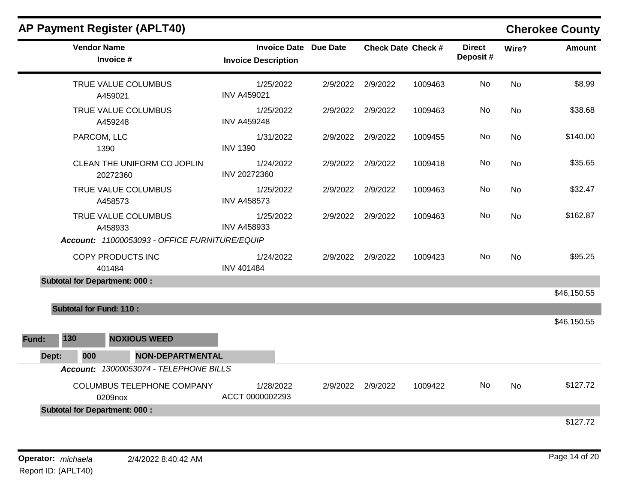|  |  |  | <b>AP Payment Register (APLT40)</b> |  |
|--|--|--|-------------------------------------|--|
|--|--|--|-------------------------------------|--|

## **Cherokee County**

| <b>Vendor Name</b><br>Invoice #               | <b>Invoice Date Due Date</b><br><b>Invoice Description</b> |          | <b>Check Date Check #</b> |         | <b>Direct</b><br>Deposit# | Wire?     | <b>Amount</b> |
|-----------------------------------------------|------------------------------------------------------------|----------|---------------------------|---------|---------------------------|-----------|---------------|
| TRUE VALUE COLUMBUS<br>A459021                | 1/25/2022<br><b>INV A459021</b>                            | 2/9/2022 | 2/9/2022                  | 1009463 | No                        | <b>No</b> | \$8.99        |
| TRUE VALUE COLUMBUS<br>A459248                | 1/25/2022<br><b>INV A459248</b>                            | 2/9/2022 | 2/9/2022                  | 1009463 | No                        | <b>No</b> | \$38.68       |
| PARCOM, LLC<br>1390                           | 1/31/2022<br><b>INV 1390</b>                               | 2/9/2022 | 2/9/2022                  | 1009455 | No                        | <b>No</b> | \$140.00      |
| CLEAN THE UNIFORM CO JOPLIN<br>20272360       | 1/24/2022<br>INV 20272360                                  | 2/9/2022 | 2/9/2022                  | 1009418 | No                        | <b>No</b> | \$35.65       |
| TRUE VALUE COLUMBUS<br>A458573                | 1/25/2022<br><b>INV A458573</b>                            | 2/9/2022 | 2/9/2022                  | 1009463 | <b>No</b>                 | <b>No</b> | \$32.47       |
| TRUE VALUE COLUMBUS<br>A458933                | 1/25/2022<br><b>INV A458933</b>                            |          | 2/9/2022 2/9/2022         | 1009463 | No                        | <b>No</b> | \$162.87      |
| Account: 11000053093 - OFFICE FURNITURE/EQUIP |                                                            |          |                           |         |                           |           |               |
| COPY PRODUCTS INC<br>401484                   | 1/24/2022<br><b>INV 401484</b>                             |          | 2/9/2022 2/9/2022         | 1009423 | No                        | <b>No</b> | \$95.25       |
| <b>Subtotal for Department: 000:</b>          |                                                            |          |                           |         |                           |           |               |
|                                               |                                                            |          |                           |         |                           |           | \$46,150.55   |
| <b>Subtotal for Fund: 110:</b>                |                                                            |          |                           |         |                           |           |               |
|                                               |                                                            |          |                           |         |                           |           | \$46,150.55   |
| 130<br><b>NOXIOUS WEED</b><br>Fund:           |                                                            |          |                           |         |                           |           |               |
| Dept:<br>000<br><b>NON-DEPARTMENTAL</b>       |                                                            |          |                           |         |                           |           |               |
| Account: 13000053074 - TELEPHONE BILLS        |                                                            |          |                           |         |                           |           |               |
| COLUMBUS TELEPHONE COMPANY<br>0209nox         | 1/28/2022<br>ACCT 0000002293                               | 2/9/2022 | 2/9/2022                  | 1009422 | No                        | No        | \$127.72      |
| <b>Subtotal for Department: 000:</b>          |                                                            |          |                           |         |                           |           |               |
|                                               |                                                            |          |                           |         |                           |           | \$127.72      |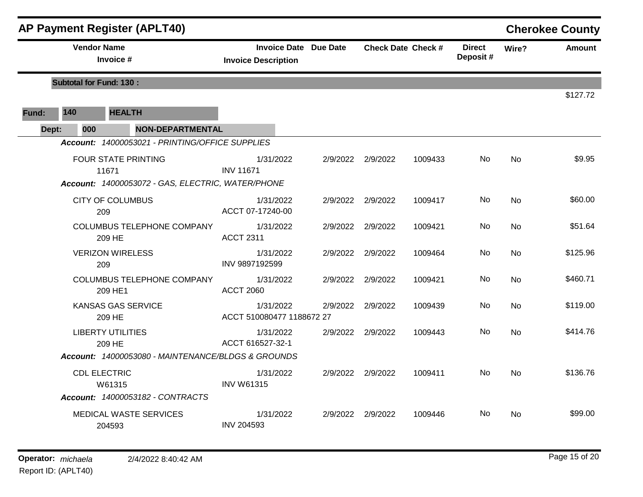|       |                                | <b>AP Payment Register (APLT40)</b>                        |                                                            |                   |                           |                           |           | <b>Cherokee County</b> |
|-------|--------------------------------|------------------------------------------------------------|------------------------------------------------------------|-------------------|---------------------------|---------------------------|-----------|------------------------|
|       | <b>Vendor Name</b>             | Invoice #                                                  | <b>Invoice Date Due Date</b><br><b>Invoice Description</b> |                   | <b>Check Date Check #</b> | <b>Direct</b><br>Deposit# | Wire?     | Amount                 |
|       | <b>Subtotal for Fund: 130:</b> |                                                            |                                                            |                   |                           |                           |           |                        |
|       |                                |                                                            |                                                            |                   |                           |                           |           | \$127.72               |
| Fund: | 140                            | <b>HEALTH</b>                                              |                                                            |                   |                           |                           |           |                        |
| Dept: | 000                            | <b>NON-DEPARTMENTAL</b>                                    |                                                            |                   |                           |                           |           |                        |
|       |                                | Account: 14000053021 - PRINTING/OFFICE SUPPLIES            |                                                            |                   |                           |                           |           |                        |
|       |                                | <b>FOUR STATE PRINTING</b>                                 | 1/31/2022                                                  | 2/9/2022 2/9/2022 | 1009433                   | No                        | <b>No</b> | \$9.95                 |
|       |                                | 11671<br>Account: 14000053072 - GAS, ELECTRIC, WATER/PHONE | <b>INV 11671</b>                                           |                   |                           |                           |           |                        |
|       |                                |                                                            |                                                            |                   |                           |                           |           |                        |
|       |                                | <b>CITY OF COLUMBUS</b><br>209                             | 1/31/2022<br>ACCT 07-17240-00                              | 2/9/2022 2/9/2022 | 1009417                   | No                        | <b>No</b> | \$60.00                |
|       |                                | <b>COLUMBUS TELEPHONE COMPANY</b>                          | 1/31/2022                                                  | 2/9/2022 2/9/2022 | 1009421                   | No.                       | <b>No</b> | \$51.64                |
|       |                                | 209 HE                                                     | <b>ACCT 2311</b>                                           |                   |                           |                           |           |                        |
|       |                                | <b>VERIZON WIRELESS</b>                                    | 1/31/2022                                                  | 2/9/2022 2/9/2022 | 1009464                   | No.                       | No        | \$125.96               |
|       |                                | 209                                                        | INV 9897192599                                             |                   |                           |                           |           |                        |
|       |                                | COLUMBUS TELEPHONE COMPANY                                 | 1/31/2022                                                  | 2/9/2022 2/9/2022 | 1009421                   | No.                       | <b>No</b> | \$460.71               |
|       |                                | 209 HE1                                                    | <b>ACCT 2060</b>                                           |                   |                           |                           |           |                        |
|       |                                | <b>KANSAS GAS SERVICE</b>                                  | 1/31/2022<br>ACCT 510080477 1188672 27                     | 2/9/2022 2/9/2022 | 1009439                   | No                        | <b>No</b> | \$119.00               |
|       |                                | 209 HE                                                     |                                                            |                   |                           |                           |           |                        |
|       |                                | <b>LIBERTY UTILITIES</b><br>209 HE                         | 1/31/2022<br>ACCT 616527-32-1                              | 2/9/2022 2/9/2022 | 1009443                   | No                        | No        | \$414.76               |
|       |                                | Account: 14000053080 - MAINTENANCE/BLDGS & GROUNDS         |                                                            |                   |                           |                           |           |                        |
|       |                                | <b>CDL ELECTRIC</b>                                        | 1/31/2022                                                  | 2/9/2022 2/9/2022 | 1009411                   | No.                       | No        | \$136.76               |
|       |                                | W61315                                                     | <b>INV W61315</b>                                          |                   |                           |                           |           |                        |
|       |                                | Account: 14000053182 - CONTRACTS                           |                                                            |                   |                           |                           |           |                        |
|       |                                | <b>MEDICAL WASTE SERVICES</b>                              | 1/31/2022                                                  | 2/9/2022 2/9/2022 | 1009446                   | No.                       | No.       | \$99.00                |
|       |                                | 204593                                                     | <b>INV 204593</b>                                          |                   |                           |                           |           |                        |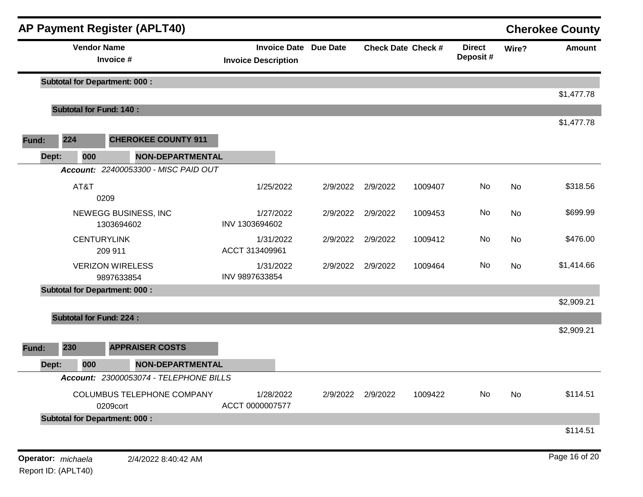|       |                    | <b>AP Payment Register (APLT40)</b>    |                                                            |          |                   |                           |                           |           | <b>Cherokee County</b> |
|-------|--------------------|----------------------------------------|------------------------------------------------------------|----------|-------------------|---------------------------|---------------------------|-----------|------------------------|
|       |                    | <b>Vendor Name</b><br>Invoice #        | <b>Invoice Date Due Date</b><br><b>Invoice Description</b> |          |                   | <b>Check Date Check #</b> | <b>Direct</b><br>Deposit# | Wire?     | <b>Amount</b>          |
|       |                    | <b>Subtotal for Department: 000:</b>   |                                                            |          |                   |                           |                           |           |                        |
|       |                    | <b>Subtotal for Fund: 140:</b>         |                                                            |          |                   |                           |                           |           | \$1,477.78             |
|       |                    |                                        |                                                            |          |                   |                           |                           |           | \$1,477.78             |
| Fund: | 224                | <b>CHEROKEE COUNTY 911</b>             |                                                            |          |                   |                           |                           |           |                        |
| Dept: | 000                | <b>NON-DEPARTMENTAL</b>                |                                                            |          |                   |                           |                           |           |                        |
|       |                    | Account: 22400053300 - MISC PAID OUT   |                                                            |          |                   |                           |                           |           |                        |
|       | AT&T               | 0209                                   | 1/25/2022                                                  | 2/9/2022 | 2/9/2022          | 1009407                   | No                        | No        | \$318.56               |
|       |                    | NEWEGG BUSINESS, INC<br>1303694602     | 1/27/2022<br>INV 1303694602                                | 2/9/2022 | 2/9/2022          | 1009453                   | No                        | No        | \$699.99               |
|       |                    | <b>CENTURYLINK</b><br>209 911          | 1/31/2022<br>ACCT 313409961                                |          | 2/9/2022 2/9/2022 | 1009412                   | No                        | No        | \$476.00               |
|       |                    | <b>VERIZON WIRELESS</b><br>9897633854  | 1/31/2022<br>INV 9897633854                                | 2/9/2022 | 2/9/2022          | 1009464                   | No                        | <b>No</b> | \$1,414.66             |
|       |                    | <b>Subtotal for Department: 000:</b>   |                                                            |          |                   |                           |                           |           |                        |
|       |                    |                                        |                                                            |          |                   |                           |                           |           | \$2,909.21             |
|       |                    | <b>Subtotal for Fund: 224:</b>         |                                                            |          |                   |                           |                           |           |                        |
| Fund: | 230                | <b>APPRAISER COSTS</b>                 |                                                            |          |                   |                           |                           |           | \$2,909.21             |
| Dept: | 000                | <b>NON-DEPARTMENTAL</b>                |                                                            |          |                   |                           |                           |           |                        |
|       |                    | Account: 23000053074 - TELEPHONE BILLS |                                                            |          |                   |                           |                           |           |                        |
|       |                    | COLUMBUS TELEPHONE COMPANY<br>0209cort | 1/28/2022<br>ACCT 0000007577                               |          | 2/9/2022 2/9/2022 | 1009422                   | No                        | No        | \$114.51               |
|       |                    | <b>Subtotal for Department: 000:</b>   |                                                            |          |                   |                           |                           |           |                        |
|       |                    |                                        |                                                            |          |                   |                           |                           |           | \$114.51               |
|       | Operator: michaela | 2/4/2022 8:40:42 AM                    |                                                            |          |                   |                           |                           |           | Page 16 of 20          |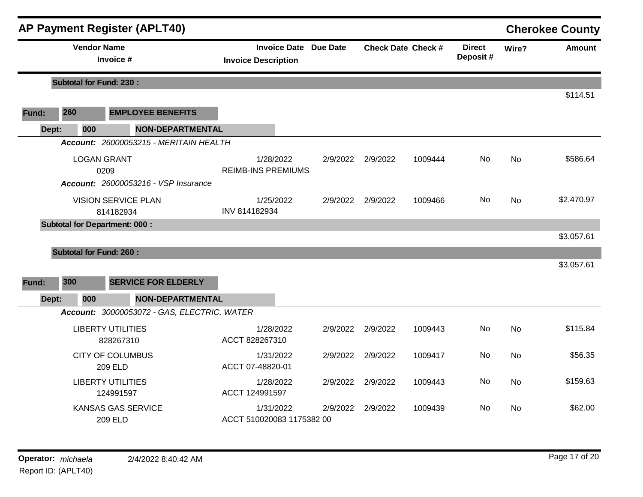|       |                                      | <b>AP Payment Register (APLT40)</b>         |                                        |                              |          |          |                           |                           |           | <b>Cherokee County</b> |
|-------|--------------------------------------|---------------------------------------------|----------------------------------------|------------------------------|----------|----------|---------------------------|---------------------------|-----------|------------------------|
|       | <b>Vendor Name</b>                   | Invoice #                                   | <b>Invoice Description</b>             | <b>Invoice Date Due Date</b> |          |          | <b>Check Date Check #</b> | <b>Direct</b><br>Deposit# | Wire?     | Amount                 |
|       | <b>Subtotal for Fund: 230:</b>       |                                             |                                        |                              |          |          |                           |                           |           |                        |
|       |                                      |                                             |                                        |                              |          |          |                           |                           |           | \$114.51               |
| Fund: | 260                                  | <b>EMPLOYEE BENEFITS</b>                    |                                        |                              |          |          |                           |                           |           |                        |
| Dept: | 000                                  | <b>NON-DEPARTMENTAL</b>                     |                                        |                              |          |          |                           |                           |           |                        |
|       |                                      | Account: 26000053215 - MERITAIN HEALTH      |                                        |                              |          |          |                           |                           |           |                        |
|       | <b>LOGAN GRANT</b><br>0209           |                                             | 1/28/2022<br><b>REIMB-INS PREMIUMS</b> |                              | 2/9/2022 | 2/9/2022 | 1009444                   | No                        | <b>No</b> | \$586.64               |
|       |                                      | <b>Account: 26000053216 - VSP Insurance</b> |                                        |                              |          |          |                           |                           |           |                        |
|       |                                      | <b>VISION SERVICE PLAN</b><br>814182934     | 1/25/2022<br>INV 814182934             |                              | 2/9/2022 | 2/9/2022 | 1009466                   | No.                       | <b>No</b> | \$2,470.97             |
|       | <b>Subtotal for Department: 000:</b> |                                             |                                        |                              |          |          |                           |                           |           |                        |
|       |                                      |                                             |                                        |                              |          |          |                           |                           |           | \$3,057.61             |
|       | <b>Subtotal for Fund: 260:</b>       |                                             |                                        |                              |          |          |                           |                           |           |                        |
|       |                                      |                                             |                                        |                              |          |          |                           |                           |           | \$3,057.61             |
| Fund: | 300                                  | <b>SERVICE FOR ELDERLY</b>                  |                                        |                              |          |          |                           |                           |           |                        |
| Dept: | 000                                  | NON-DEPARTMENTAL                            |                                        |                              |          |          |                           |                           |           |                        |
|       |                                      | Account: 30000053072 - GAS, ELECTRIC, WATER |                                        |                              |          |          |                           |                           |           |                        |
|       |                                      | <b>LIBERTY UTILITIES</b><br>828267310       | 1/28/2022<br>ACCT 828267310            |                              | 2/9/2022 | 2/9/2022 | 1009443                   | No                        | <b>No</b> | \$115.84               |
|       |                                      | <b>CITY OF COLUMBUS</b><br>209 ELD          | 1/31/2022<br>ACCT 07-48820-01          |                              | 2/9/2022 | 2/9/2022 | 1009417                   | No.                       | <b>No</b> | \$56.35                |
|       |                                      | <b>LIBERTY UTILITIES</b><br>124991597       | 1/28/2022<br>ACCT 124991597            |                              | 2/9/2022 | 2/9/2022 | 1009443                   | No                        | <b>No</b> | \$159.63               |
|       |                                      | <b>KANSAS GAS SERVICE</b><br>209 ELD        | 1/31/2022<br>ACCT 510020083 1175382 00 |                              | 2/9/2022 | 2/9/2022 | 1009439                   | No.                       | No        | \$62.00                |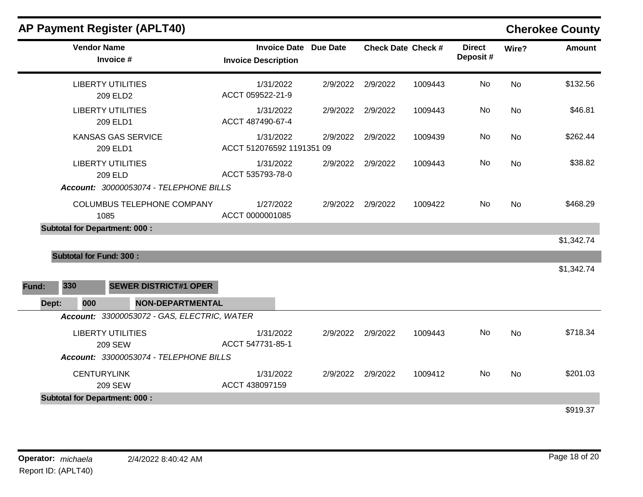|       |                                | <b>AP Payment Register (APLT40)</b>                                           |                                                            |          |          |                           |                           |           | <b>Cherokee County</b> |
|-------|--------------------------------|-------------------------------------------------------------------------------|------------------------------------------------------------|----------|----------|---------------------------|---------------------------|-----------|------------------------|
|       | <b>Vendor Name</b>             | Invoice #                                                                     | <b>Invoice Date Due Date</b><br><b>Invoice Description</b> |          |          | <b>Check Date Check #</b> | <b>Direct</b><br>Deposit# | Wire?     | <b>Amount</b>          |
|       |                                | <b>LIBERTY UTILITIES</b><br>209 ELD2                                          | 1/31/2022<br>ACCT 059522-21-9                              | 2/9/2022 | 2/9/2022 | 1009443                   | No                        | <b>No</b> | \$132.56               |
|       |                                | <b>LIBERTY UTILITIES</b><br>209 ELD1                                          | 1/31/2022<br>ACCT 487490-67-4                              | 2/9/2022 | 2/9/2022 | 1009443                   | No                        | No        | \$46.81                |
|       |                                | <b>KANSAS GAS SERVICE</b><br>209 ELD1                                         | 1/31/2022<br>ACCT 512076592 1191351 09                     | 2/9/2022 | 2/9/2022 | 1009439                   | No                        | No        | \$262.44               |
|       |                                | <b>LIBERTY UTILITIES</b><br>209 ELD<br>Account: 30000053074 - TELEPHONE BILLS | 1/31/2022<br>ACCT 535793-78-0                              | 2/9/2022 | 2/9/2022 | 1009443                   | No                        | No        | \$38.82                |
|       |                                | COLUMBUS TELEPHONE COMPANY<br>1085                                            | 1/27/2022<br>ACCT 0000001085                               | 2/9/2022 | 2/9/2022 | 1009422                   | No                        | <b>No</b> | \$468.29               |
|       |                                | <b>Subtotal for Department: 000:</b>                                          |                                                            |          |          |                           |                           |           |                        |
|       | <b>Subtotal for Fund: 300:</b> |                                                                               |                                                            |          |          |                           |                           |           | \$1,342.74             |
|       |                                |                                                                               |                                                            |          |          |                           |                           |           | \$1,342.74             |
| Fund: | 330                            | <b>SEWER DISTRICT#1 OPER</b>                                                  |                                                            |          |          |                           |                           |           |                        |
| Dept: | 000                            | <b>NON-DEPARTMENTAL</b>                                                       |                                                            |          |          |                           |                           |           |                        |
|       |                                | Account: 33000053072 - GAS, ELECTRIC, WATER                                   |                                                            |          |          |                           |                           |           |                        |
|       |                                | <b>LIBERTY UTILITIES</b><br><b>209 SEW</b>                                    | 1/31/2022<br>ACCT 547731-85-1                              | 2/9/2022 | 2/9/2022 | 1009443                   | No                        | <b>No</b> | \$718.34               |
|       |                                | Account: 33000053074 - TELEPHONE BILLS                                        |                                                            |          |          |                           |                           |           |                        |
|       | <b>CENTURYLINK</b>             |                                                                               | 1/31/2022                                                  | 2/9/2022 | 2/9/2022 | 1009412                   | No.                       | No.       | \$201.03               |

ACCT 438097159

**Subtotal for Department: 000 :** 

\$919.37

209 SEW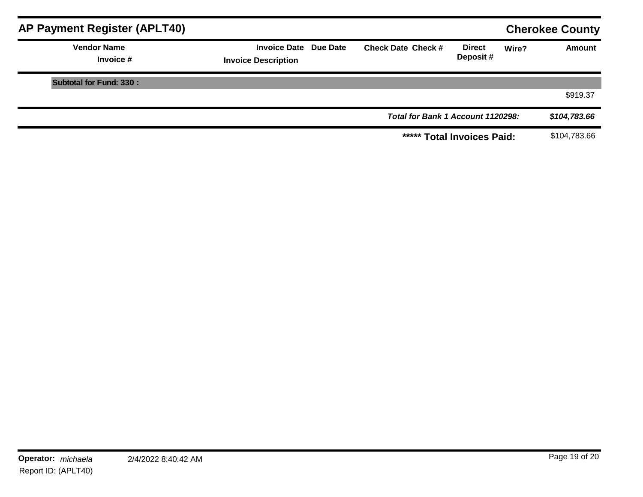| <b>AP Payment Register (APLT40)</b> |                                                            |                                   |                           |       | <b>Cherokee County</b> |
|-------------------------------------|------------------------------------------------------------|-----------------------------------|---------------------------|-------|------------------------|
| <b>Vendor Name</b><br>Invoice #     | <b>Invoice Date Due Date</b><br><b>Invoice Description</b> | <b>Check Date Check #</b>         | <b>Direct</b><br>Deposit# | Wire? | Amount                 |
| Subtotal for Fund: 330 :            |                                                            |                                   |                           |       |                        |
|                                     |                                                            |                                   |                           |       | \$919.37               |
|                                     |                                                            | Total for Bank 1 Account 1120298: |                           |       | \$104,783.66           |
|                                     |                                                            | ***** Total Invoices Paid:        |                           |       | \$104,783.66           |